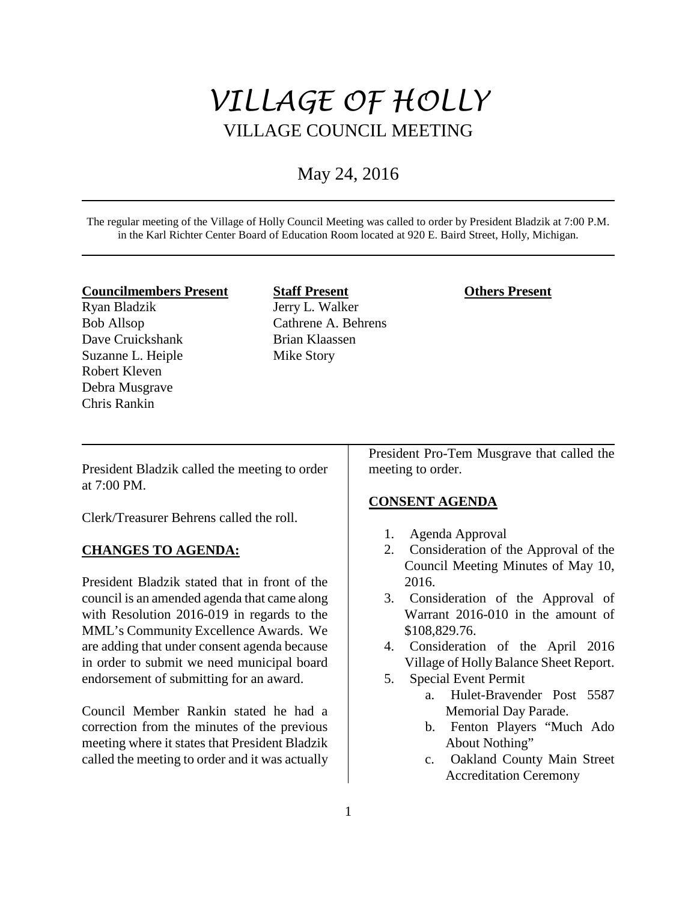# *VILLAGE OF HOLLY* VILLAGE COUNCIL MEETING

## May 24, 2016

The regular meeting of the Village of Holly Council Meeting was called to order by President Bladzik at 7:00 P.M. in the Karl Richter Center Board of Education Room located at 920 E. Baird Street, Holly, Michigan.

## **Councilmembers Present**

Ryan Bladzik Bob Allsop Dave Cruickshank Suzanne L. Heiple Robert Kleven Debra Musgrave Chris Rankin

**Staff Present** Jerry L. Walker Cathrene A. Behrens Brian Klaassen Mike Story

## **Others Present**

President Bladzik called the meeting to order at 7:00 PM.

Clerk/Treasurer Behrens called the roll.

## **CHANGES TO AGENDA:**

President Bladzik stated that in front of the council is an amended agenda that came along with Resolution 2016-019 in regards to the MML's Community Excellence Awards. We are adding that under consent agenda because in order to submit we need municipal board endorsement of submitting for an award.

Council Member Rankin stated he had a correction from the minutes of the previous meeting where it states that President Bladzik called the meeting to order and it was actually

President Pro-Tem Musgrave that called the meeting to order.

## **CONSENT AGENDA**

- 1. Agenda Approval
- 2. Consideration of the Approval of the Council Meeting Minutes of May 10, 2016.
- 3. Consideration of the Approval of Warrant 2016-010 in the amount of \$108,829.76.
- 4. Consideration of the April 2016 Village of Holly Balance Sheet Report.
- 5. Special Event Permit
	- a. Hulet-Bravender Post 5587 Memorial Day Parade.
	- b. Fenton Players "Much Ado About Nothing"
	- c. Oakland County Main Street Accreditation Ceremony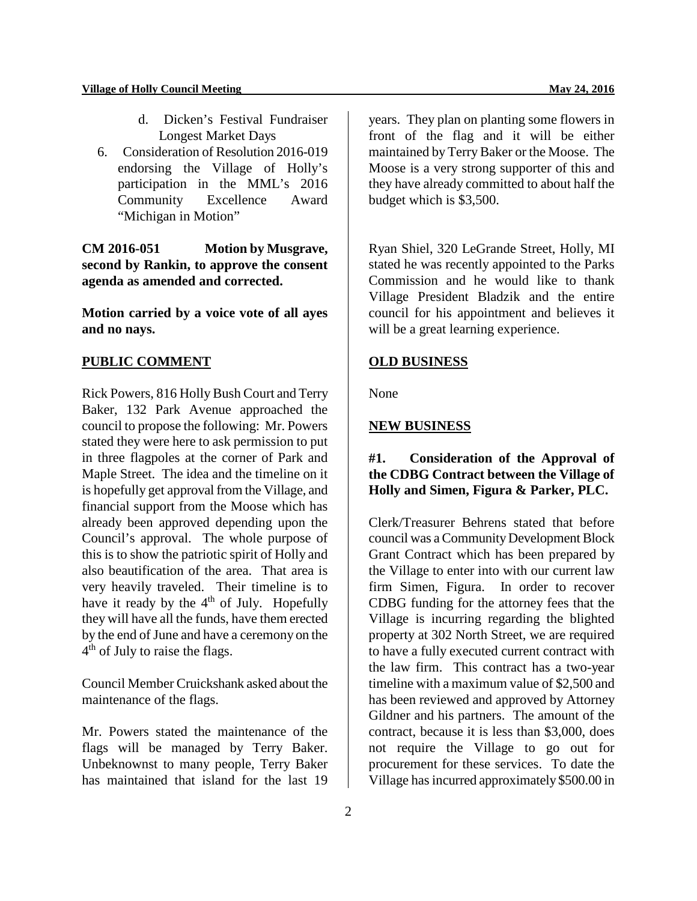- d. Dicken's Festival Fundraiser Longest Market Days
- 6. Consideration of Resolution 2016-019 endorsing the Village of Holly's participation in the MML's 2016 Community Excellence Award "Michigan in Motion"

**CM 2016-051 Motion by Musgrave, second by Rankin, to approve the consent agenda as amended and corrected.** 

**Motion carried by a voice vote of all ayes and no nays.** 

## **PUBLIC COMMENT**

Rick Powers, 816 Holly Bush Court and Terry Baker, 132 Park Avenue approached the council to propose the following: Mr. Powers stated they were here to ask permission to put in three flagpoles at the corner of Park and Maple Street. The idea and the timeline on it is hopefully get approval from the Village, and financial support from the Moose which has already been approved depending upon the Council's approval. The whole purpose of this is to show the patriotic spirit of Holly and also beautification of the area. That area is very heavily traveled. Their timeline is to have it ready by the  $4<sup>th</sup>$  of July. Hopefully they will have all the funds, have them erected by the end of June and have a ceremony on the 4<sup>th</sup> of July to raise the flags.

Council Member Cruickshank asked about the maintenance of the flags.

Mr. Powers stated the maintenance of the flags will be managed by Terry Baker. Unbeknownst to many people, Terry Baker has maintained that island for the last 19 years. They plan on planting some flowers in front of the flag and it will be either maintained by Terry Baker or the Moose. The Moose is a very strong supporter of this and they have already committed to about half the budget which is \$3,500.

Ryan Shiel, 320 LeGrande Street, Holly, MI stated he was recently appointed to the Parks Commission and he would like to thank Village President Bladzik and the entire council for his appointment and believes it will be a great learning experience.

## **OLD BUSINESS**

None

## **NEW BUSINESS**

## **#1. Consideration of the Approval of the CDBG Contract between the Village of Holly and Simen, Figura & Parker, PLC.**

Clerk/Treasurer Behrens stated that before council was a Community Development Block Grant Contract which has been prepared by the Village to enter into with our current law firm Simen, Figura. In order to recover CDBG funding for the attorney fees that the Village is incurring regarding the blighted property at 302 North Street, we are required to have a fully executed current contract with the law firm. This contract has a two-year timeline with a maximum value of \$2,500 and has been reviewed and approved by Attorney Gildner and his partners. The amount of the contract, because it is less than \$3,000, does not require the Village to go out for procurement for these services. To date the Village has incurred approximately \$500.00 in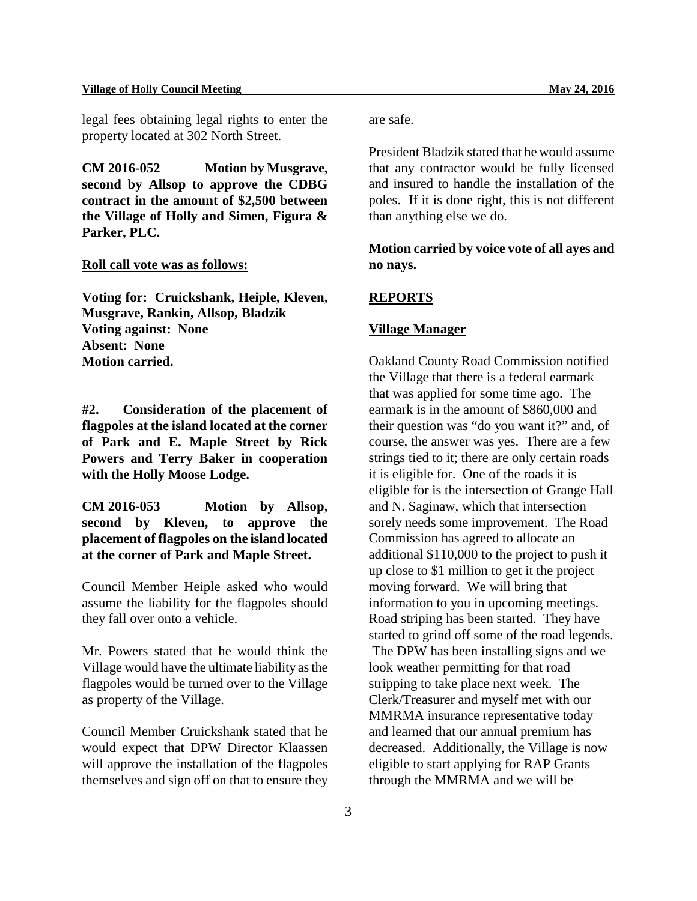#### **Village of Holly Council Meeting May 24, 2016**

legal fees obtaining legal rights to enter the property located at 302 North Street.

**CM 2016-052 Motion by Musgrave, second by Allsop to approve the CDBG contract in the amount of \$2,500 between the Village of Holly and Simen, Figura & Parker, PLC.** 

## **Roll call vote was as follows:**

**Voting for: Cruickshank, Heiple, Kleven, Musgrave, Rankin, Allsop, Bladzik Voting against: None Absent: None Motion carried.** 

**#2. Consideration of the placement of flagpoles at the island located at the corner of Park and E. Maple Street by Rick Powers and Terry Baker in cooperation with the Holly Moose Lodge.** 

**CM 2016-053 Motion by Allsop, second by Kleven, to approve the placement of flagpoles on the island located at the corner of Park and Maple Street.**

Council Member Heiple asked who would assume the liability for the flagpoles should they fall over onto a vehicle.

Mr. Powers stated that he would think the Village would have the ultimate liability as the flagpoles would be turned over to the Village as property of the Village.

Council Member Cruickshank stated that he would expect that DPW Director Klaassen will approve the installation of the flagpoles themselves and sign off on that to ensure they are safe.

President Bladzik stated that he would assume that any contractor would be fully licensed and insured to handle the installation of the poles. If it is done right, this is not different than anything else we do.

**Motion carried by voice vote of all ayes and no nays.** 

## **REPORTS**

## **Village Manager**

Oakland County Road Commission notified the Village that there is a federal earmark that was applied for some time ago. The earmark is in the amount of \$860,000 and their question was "do you want it?" and, of course, the answer was yes. There are a few strings tied to it; there are only certain roads it is eligible for. One of the roads it is eligible for is the intersection of Grange Hall and N. Saginaw, which that intersection sorely needs some improvement. The Road Commission has agreed to allocate an additional \$110,000 to the project to push it up close to \$1 million to get it the project moving forward. We will bring that information to you in upcoming meetings. Road striping has been started. They have started to grind off some of the road legends. The DPW has been installing signs and we look weather permitting for that road stripping to take place next week. The Clerk/Treasurer and myself met with our MMRMA insurance representative today and learned that our annual premium has decreased. Additionally, the Village is now eligible to start applying for RAP Grants through the MMRMA and we will be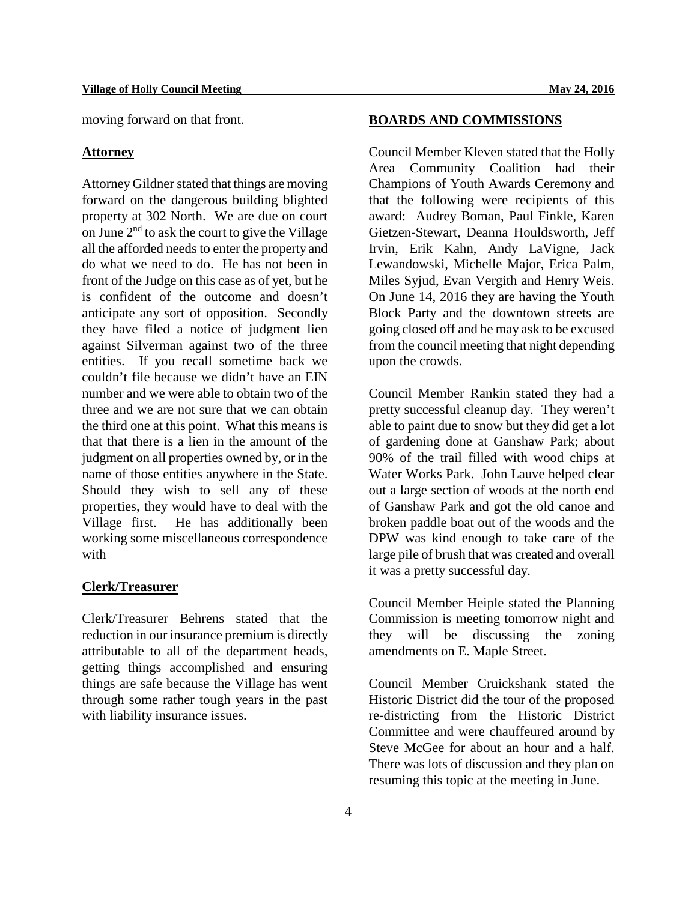moving forward on that front.

## **Attorney**

Attorney Gildner stated that things are moving forward on the dangerous building blighted property at 302 North. We are due on court on June  $2<sup>nd</sup>$  to ask the court to give the Village all the afforded needs to enter the property and do what we need to do. He has not been in front of the Judge on this case as of yet, but he is confident of the outcome and doesn't anticipate any sort of opposition. Secondly they have filed a notice of judgment lien against Silverman against two of the three entities. If you recall sometime back we couldn't file because we didn't have an EIN number and we were able to obtain two of the three and we are not sure that we can obtain the third one at this point. What this means is that that there is a lien in the amount of the judgment on all properties owned by, or in the name of those entities anywhere in the State. Should they wish to sell any of these properties, they would have to deal with the Village first. He has additionally been working some miscellaneous correspondence with

## **Clerk/Treasurer**

Clerk/Treasurer Behrens stated that the reduction in our insurance premium is directly attributable to all of the department heads, getting things accomplished and ensuring things are safe because the Village has went through some rather tough years in the past with liability insurance issues.

## **BOARDS AND COMMISSIONS**

Council Member Kleven stated that the Holly Area Community Coalition had their Champions of Youth Awards Ceremony and that the following were recipients of this award: Audrey Boman, Paul Finkle, Karen Gietzen-Stewart, Deanna Houldsworth, Jeff Irvin, Erik Kahn, Andy LaVigne, Jack Lewandowski, Michelle Major, Erica Palm, Miles Syjud, Evan Vergith and Henry Weis. On June 14, 2016 they are having the Youth Block Party and the downtown streets are going closed off and he may ask to be excused from the council meeting that night depending upon the crowds.

Council Member Rankin stated they had a pretty successful cleanup day. They weren't able to paint due to snow but they did get a lot of gardening done at Ganshaw Park; about 90% of the trail filled with wood chips at Water Works Park. John Lauve helped clear out a large section of woods at the north end of Ganshaw Park and got the old canoe and broken paddle boat out of the woods and the DPW was kind enough to take care of the large pile of brush that was created and overall it was a pretty successful day.

Council Member Heiple stated the Planning Commission is meeting tomorrow night and they will be discussing the zoning amendments on E. Maple Street.

Council Member Cruickshank stated the Historic District did the tour of the proposed re-districting from the Historic District Committee and were chauffeured around by Steve McGee for about an hour and a half. There was lots of discussion and they plan on resuming this topic at the meeting in June.